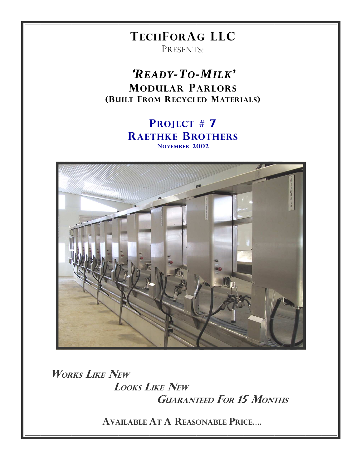# **TECHFORAG LLC**

PRESENTS:

**READY-TO-MILK' MODULAR PARLORS** (BUILT FROM RECYCLED MATERIALS)

### **PROJECT #7 RAETHKE BROTHERS** NOVEMBER 2002



**WORKS LIKE NEW LOOKS LIKE NEW GUARANTEED FOR 15 MONTHS** 

**AVAILABLE AT A REASONABLE PRICE....**